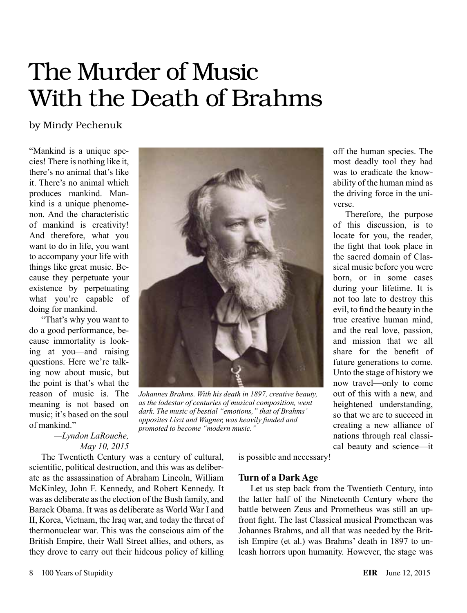# The Murder of Music With the Death of Brahms

### by Mindy Pechenuk

"Mankind is a unique species! There is nothing like it, there's no animal that's like it. There's no animal which produces mankind. Mankind is a unique phenomenon. And the characteristic of mankind is creativity! And therefore, what you want to do in life, you want to accompany your life with things like great music. Because they perpetuate your existence by perpetuating what you're capable of doing for mankind.

"That's why you want to do a good performance, because immortality is looking at you—and raising questions. Here we're talking now about music, but the point is that's what the reason of music is. The meaning is not based on music; it's based on the soul of mankind."



*Johannes Brahms. With his death in 1897, creative beauty, as the lodestar of centuries of musical composition, went dark. The music of bestial "emotions," that of Brahms' opposites Liszt and Wagner, was heavily funded and promoted to become "modern music."*

*—Lyndon LaRouche, May 10, 2015*

The Twentieth Century was a century of cultural, scientific, political destruction, and this was as deliberate as the assassination of Abraham Lincoln, William McKinley, John F. Kennedy, and Robert Kennedy. It was as deliberate as the election of the Bush family, and Barack Obama. It was as deliberate as World War I and II, Korea, Vietnam, the Iraq war, and today the threat of thermonuclear war. This was the conscious aim of the British Empire, their Wall Street allies, and others, as they drove to carry out their hideous policy of killing

is possible and necessary!

#### **Turn of a Dark Age**

Let us step back from the Twentieth Century, into the latter half of the Nineteenth Century where the battle between Zeus and Prometheus was still an upfront fight. The last Classical musical Promethean was Johannes Brahms, and all that was needed by the British Empire (et al.) was Brahms' death in 1897 to unleash horrors upon humanity. However, the stage was

off the human species. The most deadly tool they had was to eradicate the knowability of the human mind as the driving force in the uni-

Therefore, the purpose of this discussion, is to locate for you, the reader, the fight that took place in the sacred domain of Classical music before you were born, or in some cases during your lifetime. It is not too late to destroy this evil, to find the beauty in the true creative human mind, and the real love, passion, and mission that we all share for the benefit of future generations to come. Unto the stage of history we now travel—only to come out of this with a new, and heightened understanding, so that we are to succeed in creating a new alliance of nations through real classical beauty and science—it

verse.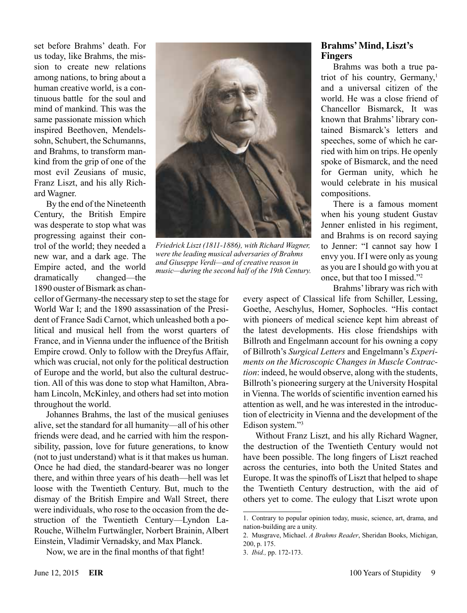set before Brahms' death. For us today, like Brahms, the mission to create new relations among nations, to bring about a human creative world, is a continuous battle for the soul and mind of mankind. This was the same passionate mission which inspired Beethoven, Mendelssohn, Schubert, the Schumanns, and Brahms, to transform mankind from the grip of one of the most evil Zeusians of music, Franz Liszt, and his ally Richard Wagner.

By the end of the Nineteenth Century, the British Empire was desperate to stop what was progressing against their control of the world; they needed a new war, and a dark age. The Empire acted, and the world dramatically changed—the 1890 ouster of Bismark as chan-

cellor of Germany-the necessary step to set the stage for World War I; and the 1890 assassination of the President of France Sadi Carnot, which unleashed both a political and musical hell from the worst quarters of France, and in Vienna under the influence of the British Empire crowd. Only to follow with the Dreyfus Affair, which was crucial, not only for the political destruction of Europe and the world, but also the cultural destruction. All of this was done to stop what Hamilton, Abraham Lincoln, McKinley, and others had set into motion throughout the world.

Johannes Brahms, the last of the musical geniuses alive, set the standard for all humanity—all of his other friends were dead, and he carried with him the responsibility, passion, love for future generations, to know (not to just understand) what is it that makes us human. Once he had died, the standard-bearer was no longer there, and within three years of his death—hell was let loose with the Twentieth Century. But, much to the dismay of the British Empire and Wall Street, there were individuals, who rose to the occasion from the destruction of the Twentieth Century—Lyndon La-Rouche, Wilhelm Furtwängler, Norbert Brainin, Albert Einstein, Vladimir Vernadsky, and Max Planck.

Now, we are in the final months of that fight!



*Friedrick Liszt (1811-1886), with Richard Wagner, were the leading musical adversaries of Brahms and Giuseppe Verdi—and of creative reason in music—during the second half of the 19th Century.*

### **Brahms' Mind, Liszt's Fingers**

Brahms was both a true patriot of his country. Germany,<sup>1</sup> and a universal citizen of the world. He was a close friend of Chancellor Bismarck, It was known that Brahms' library contained Bismarck's letters and speeches, some of which he carried with him on trips. He openly spoke of Bismarck, and the need for German unity, which he would celebrate in his musical compositions.

There is a famous moment when his young student Gustav Jenner enlisted in his regiment, and Brahms is on record saying to Jenner: "I cannot say how I envy you. If I were only as young as you are I should go with you at once, but that too I missed."2

Brahms' library was rich with

every aspect of Classical life from Schiller, Lessing, Goethe, Aeschylus, Homer, Sophocles. "His contact with pioneers of medical science kept him abreast of the latest developments. His close friendships with Billroth and Engelmann account for his owning a copy of Billroth's *Surgical Letters* and Engelmann's *Experiments on the Microscopic Changes in Muscle Contraction*: indeed, he would observe, along with the students, Billroth's pioneering surgery at the University Hospital in Vienna. The worlds of scientific invention earned his attention as well, and he was interested in the introduction of electricity in Vienna and the development of the Edison system."3

Without Franz Liszt, and his ally Richard Wagner, the destruction of the Twentieth Century would not have been possible. The long fingers of Liszt reached across the centuries, into both the United States and Europe. It was the spinoffs of Liszt that helped to shape the Twentieth Century destruction, with the aid of others yet to come. The eulogy that Liszt wrote upon

<sup>1.</sup> Contrary to popular opinion today, music, science, art, drama, and nation-building are a unity.

<sup>2.</sup> Musgrave, Michael. *A Brahms Reader*, Sheridan Books, Michigan, 200, p. 175.

<sup>3.</sup> *Ibid.,* pp. 172-173.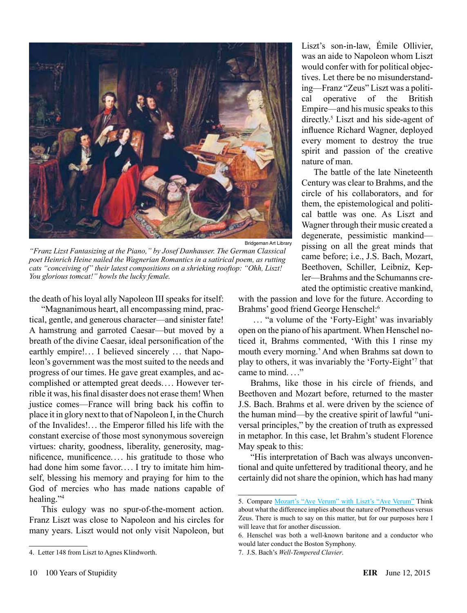

*"Franz Lizst Fantasizing at the Piano," by Josef Danhauser. The German Classical poet Heinrich Heine nailed the Wagnerian Romantics in a satirical poem, as rutting cats "conceiving of" their latest compositions on a shrieking rooftop: "Ohh, Liszt! You glorious tomcat!" howls the lucky female.*

the death of his loyal ally Napoleon III speaks for itself:

"Magnanimous heart, all encompassing mind, practical, gentle, and generous character—and sinister fate! A hamstrung and garroted Caesar—but moved by a breath of the divine Caesar, ideal personification of the earthly empire!... I believed sincerely ... that Napoleon's government was the most suited to the needs and progress of our times. He gave great examples, and accomplished or attempted great deeds. ... However terrible it was, his final disaster does not erase them! When justice comes—France will bring back his coffin to place it in glory next to that of Napoleon I, in the Church of the Invalides!. . . the Emperor filled his life with the constant exercise of those most synonymous sovereign virtues: charity, goodness, liberality, generosity, magnificence, munificence.. . . his gratitude to those who had done him some favor.... I try to imitate him himself, blessing his memory and praying for him to the God of mercies who has made nations capable of healing."4

This eulogy was no spur-of-the-moment action. Franz Liszt was close to Napoleon and his circles for many years. Liszt would not only visit Napoleon, but

Liszt's son-in-law, Émile Ollivier, was an aide to Napoleon whom Liszt would confer with for political objectives. Let there be no misunderstanding—Franz "Zeus" Liszt was a political operative of the British Empire—and his music speaks to this directly.<sup>5</sup> Liszt and his side-agent of influence Richard Wagner, deployed every moment to destroy the true spirit and passion of the creative nature of man.

The battle of the late Nineteenth Century was clear to Brahms, and the circle of his collaborators, and for them, the epistemological and political battle was one. As Liszt and Wagner through their music created a degenerate, pessimistic mankind pissing on all the great minds that came before; i.e., J.S. Bach, Mozart, Beethoven, Schiller, Leibniz, Kepler—Brahms and the Schumanns created the optimistic creative mankind,

with the passion and love for the future. According to Brahms' good friend George Henschel:<sup>6</sup>

 .. . "a volume of the 'Forty-Eight' was invariably open on the piano of his apartment. When Henschel noticed it, Brahms commented, 'With this I rinse my mouth every morning.' And when Brahms sat down to play to others, it was invariably the 'Forty-Eight'7 that came to mind $\cdots$ 

Brahms, like those in his circle of friends, and Beethoven and Mozart before, returned to the master J.S. Bach. Brahms et al. were driven by the science of the human mind—by the creative spirit of lawful "universal principles," by the creation of truth as expressed in metaphor. In this case, let Brahm's student Florence May speak to this:

"His interpretation of Bach was always unconventional and quite unfettered by traditional theory, and he certainly did not share the opinion, which has had many

7. J.S. Bach's *Well-Tempered Clavier*.

<sup>4.</sup> Letter 148 from Liszt to Agnes Klindworth.

<sup>5.</sup> Compare [Mozart's "Ave Verum"](https://www.youtube.com/watch?v=-ktpXMNi9TY) [with Liszt's "Ave Verum"](https://youtu.be/wHjWnjvnFCM) Think about what the difference implies about the nature of Prometheus versus Zeus. There is much to say on this matter, but for our purposes here I will leave that for another discussion.

<sup>6.</sup> Henschel was both a well-known baritone and a conductor who would later conduct the Boston Symphony.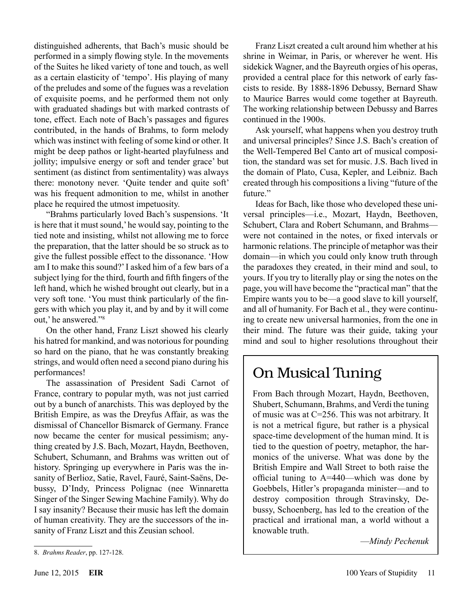distinguished adherents, that Bach's music should be performed in a simply flowing style. In the movements of the Suites he liked variety of tone and touch, as well as a certain elasticity of 'tempo'. His playing of many of the preludes and some of the fugues was a revelation of exquisite poems, and he performed them not only with graduated shadings but with marked contrasts of tone, effect. Each note of Bach's passages and figures contributed, in the hands of Brahms, to form melody which was instinct with feeling of some kind or other. It might be deep pathos or light-hearted playfulness and jollity; impulsive energy or soft and tender grace' but sentiment (as distinct from sentimentality) was always there: monotony never. 'Quite tender and quite soft' was his frequent admonition to me, whilst in another place he required the utmost impetuosity.

"Brahms particularly loved Bach's suspensions. 'It is here that it must sound,' he would say, pointing to the tied note and insisting, whilst not allowing me to force the preparation, that the latter should be so struck as to give the fullest possible effect to the dissonance. 'How am I to make this sound?' I asked him of a few bars of a subject lying for the third, fourth and fifth fingers of the left hand, which he wished brought out clearly, but in a very soft tone. 'You must think particularly of the fingers with which you play it, and by and by it will come out,' he answered."8

On the other hand, Franz Liszt showed his clearly his hatred for mankind, and was notorious for pounding so hard on the piano, that he was constantly breaking strings, and would often need a second piano during his performances!

The assassination of President Sadi Carnot of France, contrary to popular myth, was not just carried out by a bunch of anarchists. This was deployed by the British Empire, as was the Dreyfus Affair, as was the dismissal of Chancellor Bismarck of Germany. France now became the center for musical pessimism; anything created by J.S. Bach, Mozart, Haydn, Beethoven, Schubert, Schumann, and Brahms was written out of history. Springing up everywhere in Paris was the insanity of Berlioz, Satie, Ravel, Fauré, Saint-Saëns, Debussy, D'Indy, Princess Polignac (nee Winnaretta Singer of the Singer Sewing Machine Family). Why do I say insanity? Because their music has left the domain of human creativity. They are the successors of the insanity of Franz Liszt and this Zeusian school.

Franz Liszt created a cult around him whether at his shrine in Weimar, in Paris, or wherever he went. His sidekick Wagner, and the Bayreuth orgies of his operas, provided a central place for this network of early fascists to reside. By 1888-1896 Debussy, Bernard Shaw to Maurice Barres would come together at Bayreuth. The working relationship between Debussy and Barres continued in the 1900s.

Ask yourself, what happens when you destroy truth and universal principles? Since J.S. Bach's creation of the Well-Tempered Bel Canto art of musical composition, the standard was set for music. J.S. Bach lived in the domain of Plato, Cusa, Kepler, and Leibniz. Bach created through his compositions a living "future of the future."

Ideas for Bach, like those who developed these universal principles—i.e., Mozart, Haydn, Beethoven, Schubert, Clara and Robert Schumann, and Brahms were not contained in the notes, or fixed intervals or harmonic relations. The principle of metaphor was their domain—in which you could only know truth through the paradoxes they created, in their mind and soul, to yours. If you try to literally play or sing the notes on the page, you will have become the "practical man" that the Empire wants you to be—a good slave to kill yourself, and all of humanity. For Bach et al., they were continuing to create new universal harmonies, from the one in their mind. The future was their guide, taking your mind and soul to higher resolutions throughout their

# On Musical Tuning

From Bach through Mozart, Haydn, Beethoven, Shubert, Schumann, Brahms, and Verdi the tuning of music was at C=256. This was not arbitrary. It is not a metrical figure, but rather is a physical space-time development of the human mind. It is tied to the question of poetry, metaphor, the harmonics of the universe. What was done by the British Empire and Wall Street to both raise the official tuning to A=440—which was done by Goebbels, Hitler's propaganda minister—and to destroy composition through Stravinsky, Debussy, Schoenberg, has led to the creation of the practical and irrational man, a world without a knowable truth.

—*Mindy Pechenuk*

<sup>8.</sup> *Brahms Reader*, pp. 127-128.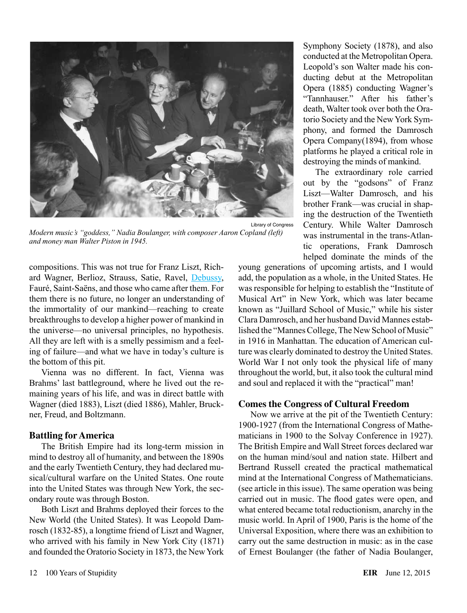

*Modern music's "goddess," Nadia Boulanger, with composer Aaron Copland (left) and money man Walter Piston in 1945.*

compositions. This was not true for Franz Liszt, Richard Wagner, Berlioz, Strauss, Satie, Ravel, [Debussy](https://youtu.be/EvnRC7tSX50), Fauré, Saint-Saëns, and those who came after them. For them there is no future, no longer an understanding of the immortality of our mankind—reaching to create breakthroughs to develop a higher power of mankind in the universe—no universal principles, no hypothesis. All they are left with is a smelly pessimism and a feeling of failure—and what we have in today's culture is the bottom of this pit.

Vienna was no different. In fact, Vienna was Brahms' last battleground, where he lived out the remaining years of his life, and was in direct battle with Wagner (died 1883), Liszt (died 1886), Mahler, Bruckner, Freud, and Boltzmann.

#### **Battling for America**

The British Empire had its long-term mission in mind to destroy all of humanity, and between the 1890s and the early Twentieth Century, they had declared musical/cultural warfare on the United States. One route into the United States was through New York, the secondary route was through Boston.

Both Liszt and Brahms deployed their forces to the New World (the United States). It was Leopold Damrosch (1832-85), a longtime friend of Liszt and Wagner, who arrived with his family in New York City (1871) and founded the Oratorio Society in 1873, the New York

Symphony Society (1878), and also conducted at the Metropolitan Opera. Leopold's son Walter made his conducting debut at the Metropolitan Opera (1885) conducting Wagner's "Tannhauser." After his father's death, Walter took over both the Oratorio Society and the New York Symphony, and formed the Damrosch Opera Company(1894), from whose platforms he played a critical role in destroying the minds of mankind.

The extraordinary role carried out by the "godsons" of Franz Liszt—Walter Damrosch, and his brother Frank—was crucial in shaping the destruction of the Twentieth Century. While Walter Damrosch was instrumental in the trans-Atlantic operations, Frank Damrosch helped dominate the minds of the

young generations of upcoming artists, and I would add, the population as a whole, in the United States. He was responsible for helping to establish the "Institute of Musical Art" in New York, which was later became known as "Juillard School of Music," while his sister Clara Damrosch, and her husband David Mannes established the "Mannes College, The New School of Music" in 1916 in Manhattan. The education of American culture was clearly dominated to destroy the United States. World War I not only took the physical life of many throughout the world, but, it also took the cultural mind and soul and replaced it with the "practical" man!

#### **Comes the Congress of Cultural Freedom**

Now we arrive at the pit of the Twentieth Century: 1900-1927 (from the International Congress of Mathematicians in 1900 to the Solvay Conference in 1927). The British Empire and Wall Street forces declared war on the human mind/soul and nation state. Hilbert and Bertrand Russell created the practical mathematical mind at the International Congress of Mathematicians. (see article in this issue). The same operation was being carried out in music. The flood gates were open, and what entered became total reductionism, anarchy in the music world. In April of 1900, Paris is the home of the Universal Exposition, where there was an exhibition to carry out the same destruction in music: as in the case of Ernest Boulanger (the father of Nadia Boulanger,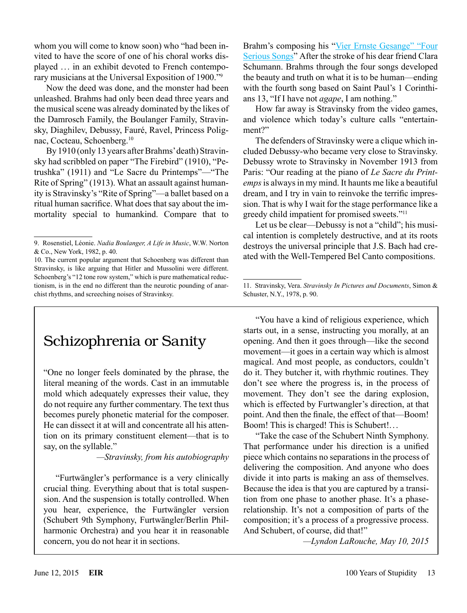whom you will come to know soon) who "had been invited to have the score of one of his choral works displayed .. . in an exhibit devoted to French contemporary musicians at the Universal Exposition of 1900."9

Now the deed was done, and the monster had been unleashed. Brahms had only been dead three years and the musical scene was already dominated by the likes of the Damrosch Family, the Boulanger Family, Stravinsky, Diaghilev, Debussy, Fauré, Ravel, Princess Polignac, Cocteau, Schoenberg.10

By 1910 (only 13 years after Brahms' death) Stravinsky had scribbled on paper "The Firebird" (1910), "Petrushka" (1911) and "Le Sacre du Printemps"—"The Rite of Spring" (1913). What an assault against humanity is Stravinsky's "Rite of Spring"—a ballet based on a ritual human sacrifice. What does that say about the immortality special to humankind. Compare that to

# Schizophrenia or Sanity

"One no longer feels dominated by the phrase, the literal meaning of the words. Cast in an immutable mold which adequately expresses their value, they do not require any further commentary. The text thus becomes purely phonetic material for the composer. He can dissect it at will and concentrate all his attention on its primary constituent element—that is to say, on the syllable."

*—Stravinsky, from his autobiography*

"Furtwängler's performance is a very clinically crucial thing. Everything about that is total suspension. And the suspension is totally controlled. When you hear, experience, the Furtwängler version (Schubert 9th Symphony, Furtwängler/Berlin Philharmonic Orchestra) and you hear it in reasonable concern, you do not hear it in sections.

Brahm's composing his "Vier Ernste Gesange" "Four [Serious Songs](https://youtu.be/-4DwEPGt7V0)" After the stroke of his dear friend Clara Schumann. Brahms through the four songs developed the beauty and truth on what it is to be human—ending with the fourth song based on Saint Paul's 1 Corinthians 13, "If I have not *agape*, I am nothing."

How far away is Stravinsky from the video games, and violence which today's culture calls "entertainment?"

The defenders of Stravinsky were a clique which included Debussy-who became very close to Stravinsky. Debussy wrote to Stravinsky in November 1913 from Paris: "Our reading at the piano of *Le Sacre du Printemps* is always in my mind. It haunts me like a beautiful dream, and I try in vain to reinvoke the terrific impression. That is why I wait for the stage performance like a greedy child impatient for promised sweets."11

Let us be clear—Debussy is not a "child"; his musical intention is completely destructive, and at its roots destroys the universal principle that J.S. Bach had created with the Well-Tempered Bel Canto compositions.

"You have a kind of religious experience, which starts out, in a sense, instructing you morally, at an opening. And then it goes through—like the second movement—it goes in a certain way which is almost magical. And most people, as conductors, couldn't do it. They butcher it, with rhythmic routines. They don't see where the progress is, in the process of movement. They don't see the daring explosion, which is effected by Furtwangler's direction, at that point. And then the finale, the effect of that—Boom! Boom! This is charged! This is Schubert!...

"Take the case of the Schubert Ninth Symphony. That performance under his direction is a unified piece which contains no separations in the process of delivering the composition. And anyone who does divide it into parts is making an ass of themselves. Because the idea is that you are captured by a transition from one phase to another phase. It's a phaserelationship. It's not a composition of parts of the composition; it's a process of a progressive process. And Schubert, of course, did that!"

*—Lyndon LaRouche, May 10, 2015*

<sup>9.</sup> Rosenstiel, Léonie. *Nadia Boulanger, A Life in Music*, W.W. Norton & Co., New York, 1982, p. 40.

<sup>10.</sup> The current popular argument that Schoenberg was different than Stravinsky, is like arguing that Hitler and Mussolini were different. Schoenberg's "12 tone row system," which is pure mathematical reductionism, is in the end no different than the neurotic pounding of anarchist rhythms, and screeching noises of Stravinksy.

<sup>11.</sup> Stravinsky, Vera. *Stravinsky In Pictures and Documents*, Simon & Schuster, N.Y., 1978, p. 90.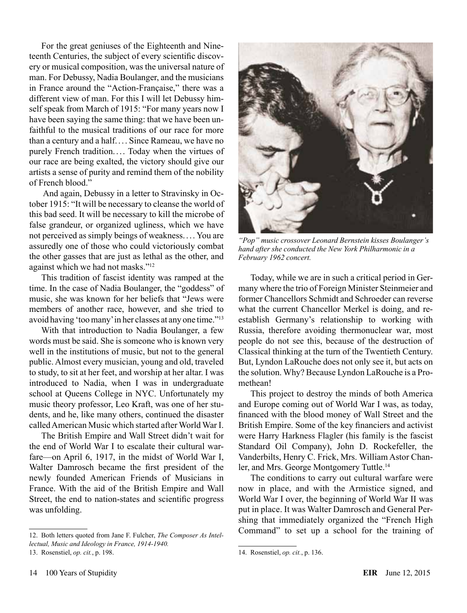For the great geniuses of the Eighteenth and Nineteenth Centuries, the subject of every scientific discovery or musical composition, was the universal nature of man. For Debussy, Nadia Boulanger, and the musicians in France around the "Action-Française," there was a different view of man. For this I will let Debussy himself speak from March of 1915: "For many years now I have been saying the same thing: that we have been unfaithful to the musical traditions of our race for more than a century and a half. . . . Since Rameau, we have no purely French tradition. ... Today when the virtues of our race are being exalted, the victory should give our artists a sense of purity and remind them of the nobility of French blood."

 And again, Debussy in a letter to Stravinsky in October 1915: "It will be necessary to cleanse the world of this bad seed. It will be necessary to kill the microbe of false grandeur, or organized ugliness, which we have not perceived as simply beings of weakness. ... You are assuredly one of those who could victoriously combat the other gasses that are just as lethal as the other, and against which we had not masks."12

This tradition of fascist identity was ramped at the time. In the case of Nadia Boulanger, the "goddess" of music, she was known for her beliefs that "Jews were members of another race, however, and she tried to avoid having 'too many' in her classes at any one time."13

With that introduction to Nadia Boulanger, a few words must be said. She is someone who is known very well in the institutions of music, but not to the general public. Almost every musician, young and old, traveled to study, to sit at her feet, and worship at her altar. I was introduced to Nadia, when I was in undergraduate school at Queens College in NYC. Unfortunately my music theory professor, Leo Kraft, was one of her students, and he, like many others, continued the disaster called American Music which started after World War I.

The British Empire and Wall Street didn't wait for the end of World War I to escalate their cultural warfare—on April 6, 1917, in the midst of World War I, Walter Damrosch became the first president of the newly founded American Friends of Musicians in France. With the aid of the British Empire and Wall Street, the end to nation-states and scientific progress was unfolding.



*"Pop" music crossover Leonard Bernstein kisses Boulanger's hand after she conducted the New York Philharmonic in a February 1962 concert.*

Today, while we are in such a critical period in Germany where the trio of Foreign Minister Steinmeier and former Chancellors Schmidt and Schroeder can reverse what the current Chancellor Merkel is doing, and reestablish Germany's relationship to working with Russia, therefore avoiding thermonuclear war, most people do not see this, because of the destruction of Classical thinking at the turn of the Twentieth Century. But, Lyndon LaRouche does not only see it, but acts on the solution. Why? Because Lyndon LaRouche is a Promethean!

This project to destroy the minds of both America and Europe coming out of World War I was, as today, financed with the blood money of Wall Street and the British Empire. Some of the key financiers and activist were Harry Harkness Flagler (his family is the fascist Standard Oil Company), John D. Rockefeller, the Vanderbilts, Henry C. Frick, Mrs. William Astor Chanler, and Mrs. George Montgomery Tuttle.14

The conditions to carry out cultural warfare were now in place, and with the Armistice signed, and World War I over, the beginning of World War II was put in place. It was Walter Damrosch and General Pershing that immediately organized the "French High Command" to set up a school for the training of

<sup>12.</sup> Both letters quoted from Jane F. Fulcher, *The Composer As Intellectual, Music and Ideology in France, 1914-1940.*

<sup>13.</sup> Rosenstiel, *op. cit.*, p. 198.

<sup>14.</sup> Rosenstiel, *op. cit.*, p. 136.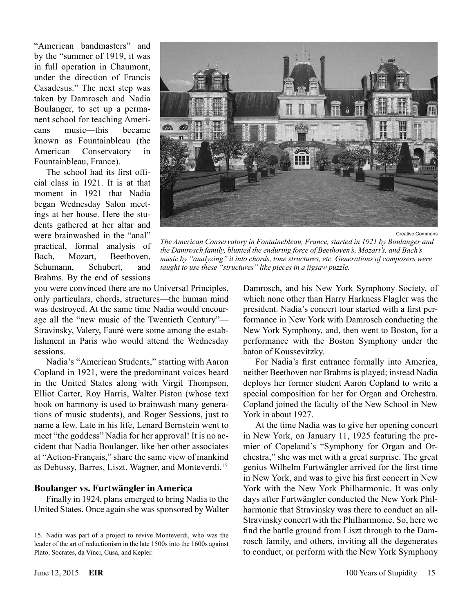"American bandmasters" and by the "summer of 1919, it was in full operation in Chaumont, under the direction of Francis Casadesus." The next step was taken by Damrosch and Nadia Boulanger, to set up a permanent school for teaching Americans music—this became known as Fountainbleau (the American Conservatory in Fountainbleau, France).

The school had its first official class in 1921. It is at that moment in 1921 that Nadia began Wednesday Salon meetings at her house. Here the students gathered at her altar and were brainwashed in the "anal" practical, formal analysis of Bach, Mozart, Beethoven, Schumann, Schubert, and Brahms. By the end of sessions



Creative Commons

*The American Conservatory in Fontainebleau, France, started in 1921 by Boulanger and the Damrosch family, blunted the enduring force of Beethoven's, Mozart's, and Bach's music by "analyzing" it into chords, tone structures, etc. Generations of composers were taught to use these "structures" like pieces in a jigsaw puzzle.*

you were convinced there are no Universal Principles, only particulars, chords, structures—the human mind was destroyed. At the same time Nadia would encourage all the "new music of the Twentieth Century"— Stravinsky, Valery, Fauré were some among the establishment in Paris who would attend the Wednesday sessions.

Nadia's "American Students," starting with Aaron Copland in 1921, were the predominant voices heard in the United States along with Virgil Thompson, Elliot Carter, Roy Harris, Walter Piston (whose text book on harmony is used to brainwash many generations of music students), and Roger Sessions, just to name a few. Late in his life, Lenard Bernstein went to meet "the goddess" Nadia for her approval! It is no accident that Nadia Boulanger, like her other associates at "Action-Français," share the same view of mankind as Debussy, Barres, Liszt, Wagner, and Monteverdi.<sup>15</sup>

#### **Boulanger vs. Furtwängler in America**

Finally in 1924, plans emerged to bring Nadia to the United States. Once again she was sponsored by Walter Damrosch, and his New York Symphony Society, of which none other than Harry Harkness Flagler was the president. Nadia's concert tour started with a first performance in New York with Damrosch conducting the New York Symphony, and, then went to Boston, for a performance with the Boston Symphony under the baton of Koussevitzky.

For Nadia's first entrance formally into America, neither Beethoven nor Brahms is played; instead Nadia deploys her former student Aaron Copland to write a special composition for her for Organ and Orchestra. Copland joined the faculty of the New School in New York in about 1927.

At the time Nadia was to give her opening concert in New York, on January 11, 1925 featuring the premier of Copeland's "Symphony for Organ and Orchestra," she was met with a great surprise. The great genius Wilhelm Furtwängler arrived for the first time in New York, and was to give his first concert in New York with the New York Philharmonic. It was only days after Furtwängler conducted the New York Philharmonic that Stravinsky was there to conduct an all-Stravinsky concert with the Philharmonic. So, here we find the battle ground from Liszt through to the Damrosch family, and others, inviting all the degenerates to conduct, or perform with the New York Symphony

<sup>15.</sup> Nadia was part of a project to revive Monteverdi, who was the leader of the art of reductionism in the late 1500s into the 1600s against Plato, Socrates, da Vinci, Cusa, and Kepler.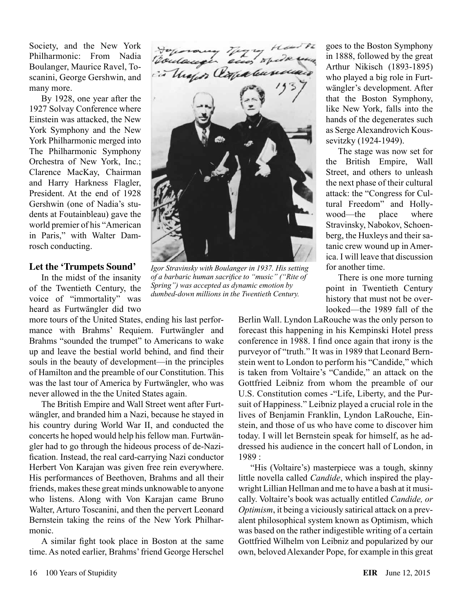Society, and the New York Philharmonic: From Nadia Boulanger, Maurice Ravel, Toscanini, George Gershwin, and many more.

By 1928, one year after the 1927 Solvay Conference where Einstein was attacked, the New York Symphony and the New York Philharmonic merged into The Philharmonic Symphony Orchestra of New York, Inc.; Clarence MacKay, Chairman and Harry Harkness Flagler, President. At the end of 1928 Gershwin (one of Nadia's students at Foutainbleau) gave the world premier of his "American in Paris," with Walter Damrosch conducting.

#### **Let the 'Trumpets Sound'**

In the midst of the insanity of the Twentieth Century, the voice of "immortality" was heard as Furtwängler did two

more tours of the United States, ending his last performance with Brahms' Requiem. Furtwängler and Brahms "sounded the trumpet" to Americans to wake up and leave the bestial world behind, and find their souls in the beauty of development—in the principles of Hamilton and the preamble of our Constitution. This was the last tour of America by Furtwängler, who was never allowed in the the United States again.

The British Empire and Wall Street went after Furtwängler, and branded him a Nazi, because he stayed in his country during World War II, and conducted the concerts he hoped would help his fellow man. Furtwängler had to go through the hideous process of de-Nazification. Instead, the real card-carrying Nazi conductor Herbert Von Karajan was given free rein everywhere. His performances of Beethoven, Brahms and all their friends, makes these great minds unknowable to anyone who listens. Along with Von Karajan came Bruno Walter, Arturo Toscanini, and then the pervert Leonard Bernstein taking the reins of the New York Philharmonic.

A similar fight took place in Boston at the same time. As noted earlier, Brahms' friend George Herschel



*Igor Stravinsky with Boulanger in 1937. His setting of a barbaric human sacrifice to "music" ("Rite of Spring") was accepted as dynamic emotion by dumbed-down millions in the Twentieth Century.*

goes to the Boston Symphony in 1888, followed by the great Arthur Nikisch (1893-1895) who played a big role in Furtwängler's development. After that the Boston Symphony, like New York, falls into the hands of the degenerates such as Serge Alexandrovich Koussevitzky (1924-1949).

The stage was now set for the British Empire, Wall Street, and others to unleash the next phase of their cultural attack: the "Congress for Cultural Freedom" and Hollywood—the place where Stravinsky, Nabokov, Schoenberg, the Huxleys and their satanic crew wound up in America. I will leave that discussion for another time.

There is one more turning point in Twentieth Century history that must not be overlooked—the 1989 fall of the

Berlin Wall. Lyndon LaRouche was the only person to forecast this happening in his Kempinski Hotel press conference in 1988. I find once again that irony is the purveyor of "truth." It was in 1989 that Leonard Bernstein went to London to perform his "Candide," which is taken from Voltaire's "Candide," an attack on the Gottfried Leibniz from whom the preamble of our U.S. Constitution comes -"Life, Liberty, and the Pursuit of Happiness." Leibniz played a crucial role in the lives of Benjamin Franklin, Lyndon LaRouche, Einstein, and those of us who have come to discover him today. I will let Bernstein speak for himself, as he addressed his audience in the concert hall of London, in 1989 :

"His (Voltaire's) masterpiece was a tough, skinny little novella called *Candide*, which inspired the playwright Lillian Hellman and me to have a bash at it musically. Voltaire's book was actually entitled *Candide, or Optimism*, it being a viciously satirical attack on a prevalent philosophical system known as Optimism, which was based on the rather indigestible writing of a certain Gottfried Wilhelm von Leibniz and popularized by our own, beloved Alexander Pope, for example in this great